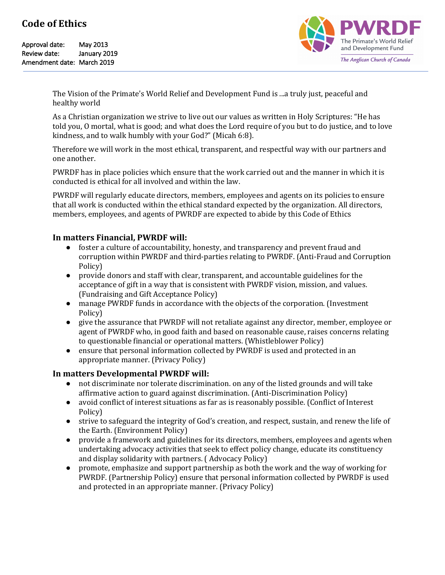Approval date: May 2013 Review date: January 2019 Amendment date: March 2019



The Vision of the Primate's World Relief and Development Fund is ...a truly just, peaceful and healthy world

As a Christian organization we strive to live out our values as written in Holy Scriptures: "He has told you, O mortal, what is good; and what does the Lord require of you but to do justice, and to love kindness, and to walk humbly with your God?" (Micah 6:8).

Therefore we will work in the most ethical, transparent, and respectful way with our partners and one another.

PWRDF has in place policies which ensure that the work carried out and the manner in which it is conducted is ethical for all involved and within the law.

PWRDF will regularly educate directors, members, employees and agents on its policies to ensure that all work is conducted within the ethical standard expected by the organization. All directors, members, employees, and agents of PWRDF are expected to abide by this Code of Ethics

## In matters Financial, PWRDF will:

- foster a culture of accountability, honesty, and transparency and prevent fraud and corruption within PWRDF and third-parties relating to PWRDF. (Anti-Fraud and Corruption Policy)
- provide donors and staff with clear, transparent, and accountable guidelines for the acceptance of gift in a way that is consistent with PWRDF vision, mission, and values. (Fundraising and Gift Acceptance Policy)
- manage PWRDF funds in accordance with the objects of the corporation. (Investment Policy)
- give the assurance that PWRDF will not retaliate against any director, member, employee or agent of PWRDF who, in good faith and based on reasonable cause, raises concerns relating to questionable financial or operational matters. (Whistleblower Policy)
- ensure that personal information collected by PWRDF is used and protected in an appropriate manner. (Privacy Policy)

# **In matters Developmental PWRDF will:**

- not discriminate nor tolerate discrimination. on any of the listed grounds and will take affirmative action to guard against discrimination. (Anti-Discrimination Policy)
- avoid conflict of interest situations as far as is reasonably possible. (Conflict of Interest Policy)
- strive to safeguard the integrity of God's creation, and respect, sustain, and renew the life of the Earth. (Environment Policy)
- provide a framework and guidelines for its directors, members, employees and agents when undertaking advocacy activities that seek to effect policy change, educate its constituency and display solidarity with partners. (Advocacy Policy)
- promote, emphasize and support partnership as both the work and the way of working for PWRDF. (Partnership Policy) ensure that personal information collected by PWRDF is used and protected in an appropriate manner. (Privacy Policy)